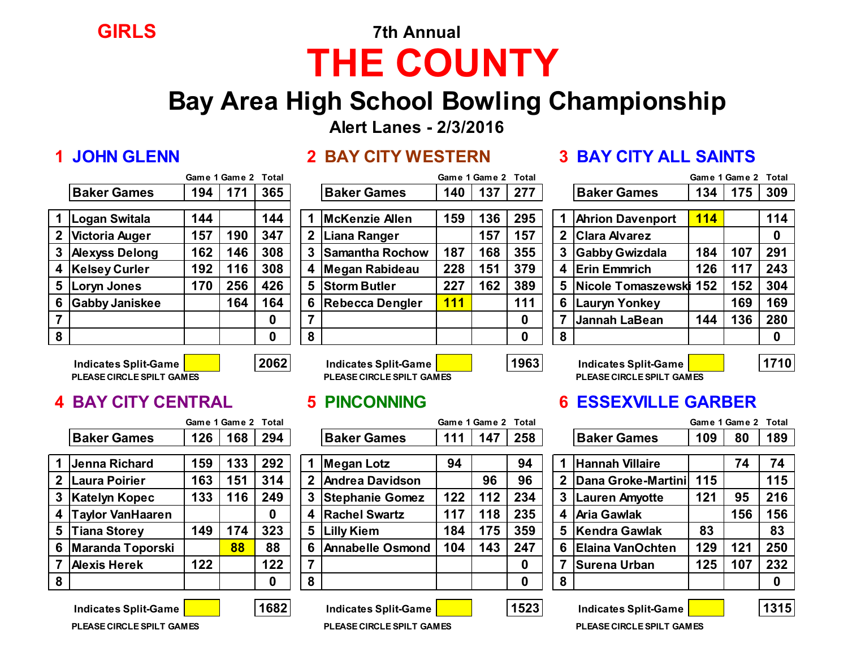# **GIRLS 7th Annual THE COUNTY**

## **Bay Area High School Bowling Championship**

**Alert Lanes - 2/3/2016**

### **Game 1 Game 2 Total Game 1 Game 2 Total Game 1 Game 2 Total 1 Logan Switala 144 144 1 McKenzie Allen 159 136 295 1 Ahrion Davenport 114 114 2 Victoria Auger 157 190 347 2 Liana Ranger 157 157 2 Clara Alvarez 0 3 Alexyss Delong 162 146 308 3 Samantha Rochow 187 168 355 3 Gabby Gwizdala 184 107 291 4 Kelsey Curler 192 116 308 4 Megan Rabideau 228 151 379 4 Erin Emmrich 126 117 243 5 Loryn Jones 170 256 426 5 Storm Butler 227 162 389 5 Nicole Tomaszewski 152 152 304 6 Gabby Janiskee 164 164 6 Rebecca Dengler 111 111 6 Lauryn Yonkey 169 169**

|   |                    |     | Game i Game z | тотаг |   |                        |            | Game 1 Game 2 | - готаг     |   |                         |            | Game I Game Z | <b>Total</b> |
|---|--------------------|-----|---------------|-------|---|------------------------|------------|---------------|-------------|---|-------------------------|------------|---------------|--------------|
|   | <b>Baker Games</b> | 194 | 171           | 365   |   | <b>Baker Games</b>     | 140        | 137           | 277         |   | <b>Baker Games</b>      | 134        | 175           | 309          |
|   |                    |     |               |       |   |                        |            |               |             |   |                         |            |               |              |
|   | 1 Logan Switala    | 144 |               | 144   |   | McKenzie Allen         | 159        | 136           | 295         |   | <b>Ahrion Davenport</b> | <b>114</b> |               | 114          |
|   | 2 Victoria Auger   | 157 | 190           | 347   |   | 2 Liana Ranger         |            | 157           | 157         |   | 2 Clara Alvarez         |            |               | 0            |
|   | 3 Alexyss Delong   | 162 | 146           | 308   |   | Samantha Rochow        | 187        | 168           | 355         | 3 | <b>Gabby Gwizdala</b>   | 184        | 107           | 291          |
|   | 4 Kelsey Curler    | 192 | 116           | 308   | 4 | Megan Rabideau         | 228        | 151           | 379         |   | 4 Erin Emmrich          | 126        | 117           | 243          |
|   | 5 Loryn Jones      | 170 | 256           | 426   |   | 5 Storm Butler         | 227        | 162           | 389         |   | 5 Nicole Tomaszewski    | 152        | 152           | 304          |
|   | 6 Gabby Janiskee   |     | 164           | 164   | 6 | <b>Rebecca Dengler</b> | <b>111</b> |               | 111         | 6 | Lauryn Yonkey           |            | 169           | 169          |
|   |                    |     |               | 0     |   |                        |            |               | $\mathbf 0$ |   | Jannah LaBean           | 144        | 136           | 280          |
| 8 |                    |     |               | 0     | 8 |                        |            |               | $\bf{0}$    | 8 |                         |            |               |              |
|   |                    |     |               |       |   |                        |            |               |             |   |                         |            |               |              |

### **1 JOHN GLENN 2 BAY CITY WESTERN 3 BAY CITY ALL SAINTS**

|                |                         |            | Game 1 Game 2 | Total |
|----------------|-------------------------|------------|---------------|-------|
|                | <b>Baker Games</b>      | 134        | 175           | 309   |
|                |                         |            |               |       |
| $\overline{1}$ | <b>Ahrion Davenport</b> | <b>114</b> |               | 114   |
| $\overline{2}$ | <b>Clara Alvarez</b>    |            |               | O     |
| $\mathbf{3}$   | <b>Gabby Gwizdala</b>   | 184        | 107           | 291   |
| 4              | <b>Erin Emmrich</b>     | 126        | 117           | 243   |
| 5              | Nicole Tomaszewski      | 152        | 152           | 304   |
| 6              | Lauryn Yonkey           |            | 169           | 169   |
| 7              | <b>Jannah LaBean</b>    | 144        | 136           | 280   |
| 8              |                         |            |               |       |

**Indicates Split-Game 2062 Indicates Split-Game 1963 Indicates Split-Game 1710**

### **PLEASE CIRCLE SPILT GAMES PLEASE CIRCLE SPILT GAMES PLEASE CIRCLE SPILT GAMES**

|                |                         |     | Game 1 Game 2 Total |     |              |                         |     | Game 1 Game 2 Total |     |    |                          |     | Game 1 Game 2 Total |     |
|----------------|-------------------------|-----|---------------------|-----|--------------|-------------------------|-----|---------------------|-----|----|--------------------------|-----|---------------------|-----|
|                | <b>Baker Games</b>      | 126 | 168                 | 294 |              | <b>Baker Games</b>      | 111 | 147                 | 258 |    | <b>Baker Games</b>       | 109 | 80                  | 189 |
|                | 1 Jenna Richard         | 159 | 33                  | 292 |              | Megan Lotz              | 94  |                     | 94  |    | <b>Hannah Villaire</b>   |     | 74                  | 74  |
| 2 <sub>1</sub> | <b>Laura Poirier</b>    | 163 | 151                 | 314 | $\mathbf{2}$ | <b>Andrea Davidson</b>  |     | 96                  | 96  |    | 2 Dana Groke-Martini 115 |     |                     | 115 |
|                | 3 Katelyn Kopec         | 133 | 116                 | 249 | 3            | <b>Stephanie Gomez</b>  | 122 | 112                 | 234 | 3. | <b>Lauren Amyotte</b>    | 121 | 95                  | 216 |
|                | Taylor VanHaaren        |     |                     | 0   | 4            | <b>Rachel Swartz</b>    | 117 | 118                 | 235 |    | 4 Aria Gawlak            |     | 156                 | 156 |
| 5              | <b>Tiana Storey</b>     | 149 | 74                  | 323 | 5            | <b>Lilly Kiem</b>       | 184 | 175                 | 359 |    | 5 Kendra Gawlak          | 83  |                     | 83  |
| 6              | <b>Maranda Toporski</b> |     | 88                  | 88  | 6            | <b>Annabelle Osmond</b> | 104 | 143                 | 247 |    | 6 Elaina VanOchten       | 129 | 121                 | 250 |
|                | <b>Alexis Herek</b>     | 122 |                     | 122 | ⇁            |                         |     |                     | 0   |    | Surena Urban             | 125 | 107                 | 232 |
| 8              |                         |     |                     | 0   | 8            |                         |     |                     | 0   | 8  |                          |     |                     | 0   |

| indicates opin-oanie    |  |
|-------------------------|--|
| PLEASE CIRCLE SPILT GAN |  |

|                    | Game 1 Game 2 Total |     |          |   |                         |     | Game 1 Game 2 Total |          |   |                         |     | Game 1 Game 2 | Total    |
|--------------------|---------------------|-----|----------|---|-------------------------|-----|---------------------|----------|---|-------------------------|-----|---------------|----------|
| <b>Baker Games</b> | 126                 | 168 | 294      |   | <b>Baker Games</b>      | 111 | 147                 | 258      |   | <b>Baker Games</b>      | 109 | 80            | 189      |
| Jenna Richard      | 159                 | 133 | 292      |   | Megan Lotz              | 94  |                     | 94       |   | <b>Hannah Villaire</b>  |     | 74            | 74       |
| Laura Poirier      | 163                 | 151 | 314      |   | 2 Andrea Davidson       |     | 96                  | 96       |   | Dana Groke-Martini 115  |     |               | 115      |
| Katelyn Kopec      | 133                 | 116 | 249      |   | 3 Stephanie Gomez       | 122 | $112$               | 234      | 3 | <b>Lauren Amyotte</b>   | 121 | 95            | 216      |
| Taylor VanHaaren   |                     |     | $\bf{0}$ |   | 4 Rachel Swartz         | 117 | 118                 | 235      | 4 | <b>Aria Gawlak</b>      |     | 156           | 156      |
| Tiana Storey       | 149                 | 174 | 323      |   | 5 Lilly Kiem            | 184 | 175                 | 359      |   | 5 Kendra Gawlak         | 83  |               | 83       |
| Maranda Toporski   |                     | 88  | 88       | 6 | <b>Annabelle Osmond</b> | 104 | 143                 | 247      | 6 | <b>Elaina VanOchten</b> | 129 | 121           | 250      |
| Alexis Herek       | 122                 |     | 122      |   |                         |     |                     | 0        |   | Surena Urban            | 125 | 107           | 232      |
|                    |                     |     | 0        | 8 |                         |     |                     | $\bf{0}$ | 8 |                         |     |               | $\bf{0}$ |
|                    |                     |     |          |   |                         |     |                     |          |   |                         |     |               |          |

### **4 BAY CITY CENTRAL 5 PINCONNING 6 ESSEXVILLE GARBER**

|              |                         |     | Game 1 Game 2 Total |     |
|--------------|-------------------------|-----|---------------------|-----|
|              | <b>Baker Games</b>      | 109 | 80                  | 189 |
|              |                         |     |                     |     |
| 1            | <b>Hannah Villaire</b>  |     | 74                  | 74  |
| $\mathbf{2}$ | Dana Groke-Martini      | 115 |                     | 115 |
| 3            | Lauren Amyotte          | 121 | 95                  | 216 |
| 4            | <b>Aria Gawlak</b>      |     | 156                 | 156 |
| 5            | <b>Kendra Gawlak</b>    | 83  |                     | 83  |
| 6            | <b>Elaina VanOchten</b> | 129 | 121                 | 250 |
| 7            | Surena Urban            | 125 | 107                 | 232 |
| 8            |                         |     |                     |     |

**Indicates Split-Game 1682 Indicates Split-Game 1523 Indicates Split-Game 1315**



**PLEASE CIRCLE SPILT GAMES PLEASE CIRCLE SPILT GAMES PLEASE CIRCLE SPILT GAMES**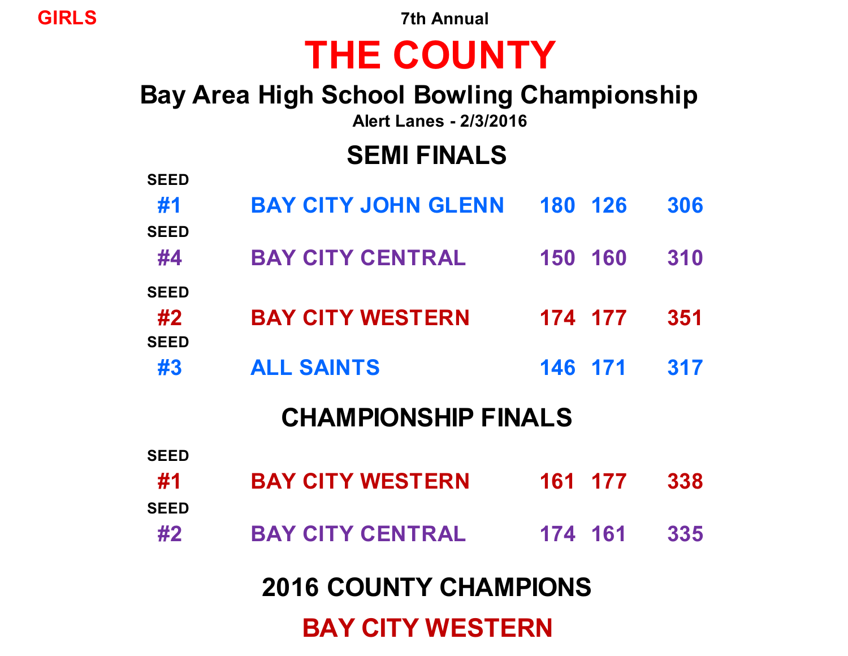**GIRLS 7th Annual**

# **THE COUNTY**

# **Bay Area High School Bowling Championship**

**Alert Lanes - 2/3/2016**

# **SEMI FINALS**

| <b>SEED</b> |                              |         |         |     |
|-------------|------------------------------|---------|---------|-----|
| #1          | <b>BAY CITY JOHN GLENN</b>   |         | 180 126 | 306 |
| <b>SEED</b> |                              |         |         |     |
| #4          | <b>BAY CITY CENTRAL</b>      | 150 160 |         | 310 |
| <b>SEED</b> |                              |         |         |     |
| #2          | <b>BAY CITY WESTERN</b>      |         | 174 177 | 351 |
| <b>SEED</b> |                              |         |         |     |
| #3          | <b>ALL SAINTS</b>            | 146 171 |         | 317 |
|             | <b>CHAMPIONSHIP FINALS</b>   |         |         |     |
| <b>SEED</b> |                              |         |         |     |
| #1          | <b>BAY CITY WESTERN</b>      |         | 161 177 | 338 |
| <b>SEED</b> |                              |         |         |     |
| #2          | <b>BAY CITY CENTRAL</b>      | 174 161 |         | 335 |
|             | <b>2016 COUNTY CHAMPIONS</b> |         |         |     |
|             |                              |         |         |     |
|             | <b>BAY CITY WESTERN</b>      |         |         |     |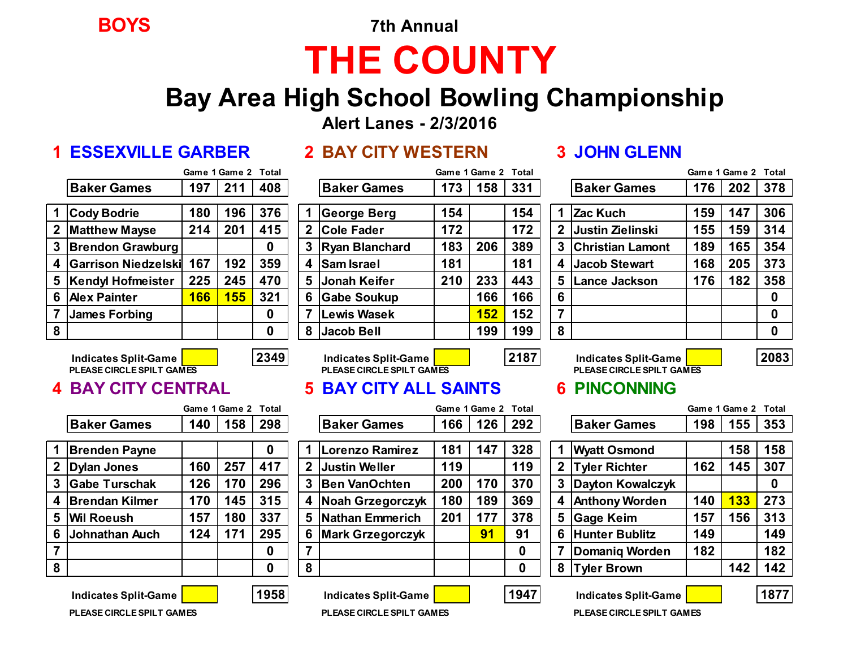**BOYS 7th Annual**

# **THE COUNTY**

## **Bay Area High School Bowling Championship**

**Alert Lanes - 2/3/2016**

### **1 ESSEXVILLE GARBER 2 BAY CITY WESTERN 3 JOHN GLENN**

|  | <b>2 BAY CITY WESTERI</b> |  |
|--|---------------------------|--|
|--|---------------------------|--|

|                |                            |     | Game 1 Game 2 Total |     |
|----------------|----------------------------|-----|---------------------|-----|
|                | <b>Baker Games</b>         | 197 | 211                 | 408 |
| -1             | <b>Cody Bodrie</b>         | 180 | 196                 | 376 |
| $\overline{2}$ | <b>Matthew Mayse</b>       | 214 | 201                 | 415 |
| 3              | <b>Brendon Grawburg</b>    |     |                     | 0   |
| 4              | <b>Garrison Niedzelski</b> | 167 | 192                 | 359 |
| 5              | <b>Kendyl Hofmeister</b>   | 225 | 245                 | 470 |
| 6              | <b>Alex Painter</b>        | 166 | 155                 | 321 |
| 7              | <b>James Forbing</b>       |     |                     | 0   |
| 8              |                            |     |                     | 0   |

|   |                       |     |     |          |   |                     |     |     |     |   |                         |     |     | .        |
|---|-----------------------|-----|-----|----------|---|---------------------|-----|-----|-----|---|-------------------------|-----|-----|----------|
|   | <b>Baker Games</b>    | 197 | 211 | 408      |   | <b>Baker Games</b>  | 173 | 158 | 331 |   | <b>Baker Games</b>      | 176 | 202 | 378      |
|   | 1 Cody Bodrie         | 180 | 196 | 376      |   | George Berg         | 154 |     | 154 |   | Zac Kuch                | 159 | 147 | 306      |
|   | 2 Matthew Mayse       | 214 | 201 | 415      | 2 | <b>Cole Fader</b>   | 172 |     | 172 |   | 2 Justin Zielinski      | 155 | 159 | 314      |
|   | 3 Brendon Grawburg    |     |     | 0        |   | 3 Ryan Blanchard    | 183 | 206 | 389 |   | <b>Christian Lamont</b> | 189 | 165 | 354      |
|   | 4 Garrison Niedzelski | 167 | 192 | 359      | 4 | <b>Sam Israel</b>   | 181 |     | 181 |   | 4 Jacob Stewart         | 168 | 205 | 373      |
|   | 5 Kendyl Hofmeister   | 225 | 245 | 470      | 5 | <b>Jonah Keifer</b> | 210 | 233 | 443 | 5 | Lance Jackson           | 176 | 182 | 358      |
|   | 6 Alex Painter        | 166 | 155 | 321      | 6 | <b>Gabe Soukup</b>  |     | 166 | 166 | 6 |                         |     |     |          |
|   | James Forbing         |     |     | 0        |   | Lewis Wasek         |     | 152 | 152 | 7 |                         |     |     | $\bf{0}$ |
| 8 |                       |     |     | $\bf{0}$ | 8 | <b>Jacob Bell</b>   |     | 199 | 199 | 8 |                         |     |     | 0        |

|            | Game 1 Game 2 Total |     |             |                       |     | Game 1 Game 2 Total |     |   |              |                         |     | Game 1 Game 2 Total |     |
|------------|---------------------|-----|-------------|-----------------------|-----|---------------------|-----|---|--------------|-------------------------|-----|---------------------|-----|
| 197        | 211                 | 408 |             | <b>Baker Games</b>    | 173 | 158                 | 331 |   |              | <b>Baker Games</b>      | 176 | 202                 | 378 |
| 180        | 196                 | 376 |             | <b>George Berg</b>    | 154 |                     | 154 |   |              | Zac Kuch                | 159 | 147                 | 306 |
| 214        | 201                 | 415 | $\mathbf 2$ | <b>Cole Fader</b>     | 172 |                     | 172 |   | $\mathbf{2}$ | Justin Zielinski        | 155 | 159                 | 314 |
|            |                     | 0   | 3           | <b>Ryan Blanchard</b> | 183 | 206                 | 389 |   | 3            | <b>Christian Lamont</b> | 189 | 165                 | 354 |
| 167        | 192                 | 359 | 4           | <b>Sam Israel</b>     | 181 |                     | 181 |   | 4            | <b>Jacob Stewart</b>    | 168 | 205                 | 373 |
| 225        | 245                 | 470 | 5           | <b>Jonah Keifer</b>   | 210 | 233                 | 443 |   | 5            | Lance Jackson           | 176 | 182                 | 358 |
| <b>166</b> | <b>155</b>          | 321 | 6           | <b>Gabe Soukup</b>    |     | 166                 | 166 |   | 6            |                         |     |                     | 0   |
|            |                     | 0   | 7           | <b>Lewis Wasek</b>    |     | 152                 | 152 |   | 7            |                         |     |                     | 0   |
|            |                     | 0   | 8           | <b>Jacob Bell</b>     |     | 199                 | 199 | 8 |              |                         |     |                     | 0   |

**Indicates Split-Game 2349 Indicates Split-Game 2187 Indicates Split-Game 2083**



### **PLEASE CIRCLE SPILT GAMES PLEASE CIRCLE SPILT GAMES PLEASE CIRCLE SPILT GAMES**

### **4 BAY CITY CENTRAL 5 BAY CITY ALL SAINTS 6 PINCONNING**

|                    | Game 1 Game 2 Total |  |
|--------------------|---------------------|--|
| <b>Baker Games</b> | $140$   158   298   |  |

| $\overline{\mathbf{1}}$ | <b>Brenden Payne</b>  |     |     | O   |
|-------------------------|-----------------------|-----|-----|-----|
|                         | 2 Dylan Jones         | 160 | 257 | 417 |
| $\overline{3}$          | <b>Gabe Turschak</b>  | 126 | 170 | 296 |
| 4                       | <b>Brendan Kilmer</b> | 170 | 145 | 315 |
| 5                       | <b>Wil Roeush</b>     | 157 | 180 | 337 |
| 6                       | Johnathan Auch        | 124 | 171 | 295 |
|                         |                       |     |     |     |
|                         |                       |     |     |     |

|   |                         | Game 1 Game 2 Total |     |     |              |                         |     | Game 1 Game 2 Total |          |              |                         |     | Game 1 Game 2 | Total |
|---|-------------------------|---------------------|-----|-----|--------------|-------------------------|-----|---------------------|----------|--------------|-------------------------|-----|---------------|-------|
|   | <b>Baker Games</b>      | 140                 | 158 | 298 |              | <b>Baker Games</b>      | 166 | 126                 | 292      |              | <b>Baker Games</b>      | 198 | 155           | 353   |
|   | <b>Brenden Payne</b>    |                     |     | 0   |              | Lorenzo Ramirez         | 181 | 147                 | 328      |              | <b>Wyatt Osmond</b>     |     | 158           | 158   |
|   | 2 Dylan Jones           | 160                 | 257 | 417 | $\mathbf{2}$ | <b>Justin Weller</b>    | 119 |                     | 119      | $\mathbf{2}$ | <b>Tyler Richter</b>    | 162 | 145           | 307   |
|   | 3 Gabe Turschak         | 126                 | 170 | 296 | $3^{\circ}$  | Ben VanOchten           | 200 | 170                 | 370      | 3            | <b>Dayton Kowalczyk</b> |     |               | 0     |
|   | 4 Brendan Kilmer        | 170                 | 145 | 315 |              | 4 Noah Grzegorczyk      | 180 | 189                 | 369      | 4            | <b>Anthony Worden</b>   | 140 | 133           | 273   |
|   | 5  Wil Roeush           | 157                 | 180 | 337 |              | 5 Nathan Emmerich       | 201 | 177                 | 378      | 5            | <b>Gage Keim</b>        | 157 | 156           | 313   |
|   | 6 <b>Johnathan Auch</b> | 124                 | 171 | 295 | 6            | <b>Mark Grzegorczyk</b> |     | 91                  | 91       | 6            | <b>Hunter Bublitz</b>   | 149 |               | 149   |
|   |                         |                     |     | 0   |              |                         |     |                     | $\bf{0}$ |              | Domaniq Worden          | 182 |               | 182   |
| 8 |                         |                     |     | 0   | 8            |                         |     |                     | $\bf{0}$ | 8            | <b>Tyler Brown</b>      |     | 142           | 142   |
|   |                         |                     |     |     |              |                         |     |                     |          |              |                         |     |               |       |

|                         |                         | Game 1 Game 2 |     |     |  |
|-------------------------|-------------------------|---------------|-----|-----|--|
|                         | <b>Baker Games</b>      | 198           | 155 | 353 |  |
|                         |                         |               |     |     |  |
| 1                       | <b>Wyatt Osmond</b>     |               | 158 | 158 |  |
| $\overline{\mathbf{2}}$ | <b>Tyler Richter</b>    | 162           | 145 | 307 |  |
| 3                       | <b>Dayton Kowalczyk</b> |               |     | 0   |  |
| 4                       | <b>Anthony Worden</b>   | 140           | 133 | 273 |  |
| 5                       | <b>Gage Keim</b>        | 157           | 156 | 313 |  |
| 6                       | <b>Hunter Bublitz</b>   | 149           |     | 149 |  |
| 7                       | <b>Domaniq Worden</b>   | 182           |     | 182 |  |
| 8                       | <b>Tyler Brown</b>      |               | 142 | 142 |  |
|                         |                         |               |     |     |  |

**Indicates Split-Game 1958 Indicates Split-Game 1947 Indicates Split-Game 1877**

**PLEASE CIRCLE SPILT GAMES PLEASE CIRCLE SPILT GAMES PLEASE CIRCLE SPILT GAMES**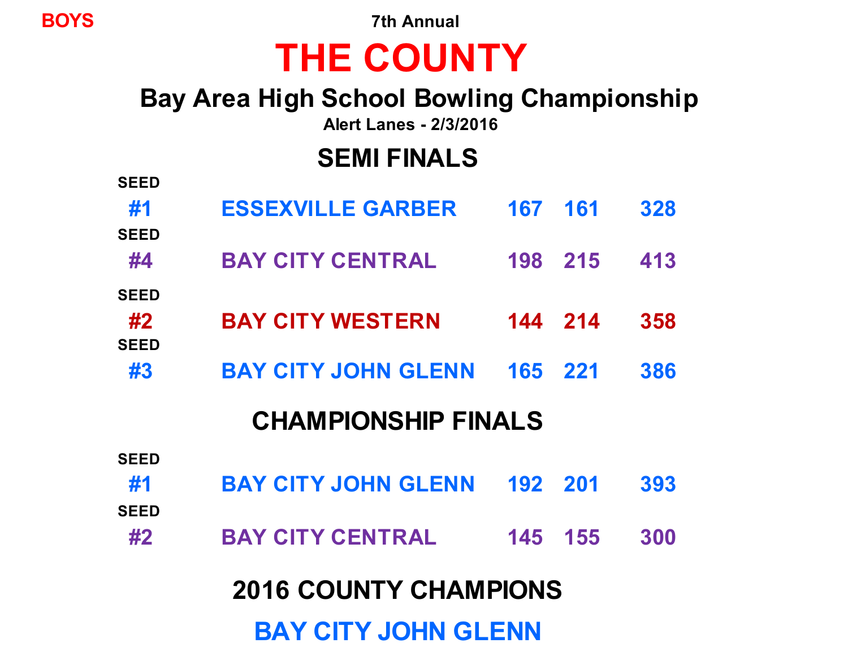**BOYS 7th Annual**

# **THE COUNTY**

# **Bay Area High School Bowling Championship**

**Alert Lanes - 2/3/2016**

# **SEMI FINALS**

| <b>SEED</b>                  |                            |         |            |     |  |  |  |  |
|------------------------------|----------------------------|---------|------------|-----|--|--|--|--|
| #1                           | <b>ESSEXVILLE GARBER</b>   | 167     | <b>161</b> | 328 |  |  |  |  |
| <b>SEED</b>                  |                            |         |            |     |  |  |  |  |
| #4                           | <b>BAY CITY CENTRAL</b>    | 198 215 |            | 413 |  |  |  |  |
| <b>SEED</b>                  |                            |         |            |     |  |  |  |  |
| #2<br><b>SEED</b>            | <b>BAY CITY WESTERN</b>    |         | 144 214    | 358 |  |  |  |  |
| #3                           | <b>BAY CITY JOHN GLENN</b> | 165 221 |            | 386 |  |  |  |  |
|                              |                            |         |            |     |  |  |  |  |
| <b>CHAMPIONSHIP FINALS</b>   |                            |         |            |     |  |  |  |  |
| <b>SEED</b>                  |                            |         |            |     |  |  |  |  |
| #1                           | <b>BAY CITY JOHN GLENN</b> | 192 201 |            | 393 |  |  |  |  |
| <b>SEED</b>                  |                            |         |            |     |  |  |  |  |
| #2                           | <b>BAY CITY CENTRAL</b>    | 145     | 155        | 300 |  |  |  |  |
| <b>2016 COUNTY CHAMPIONS</b> |                            |         |            |     |  |  |  |  |
|                              |                            |         |            |     |  |  |  |  |
| <b>BAY CITY JOHN GLENN</b>   |                            |         |            |     |  |  |  |  |